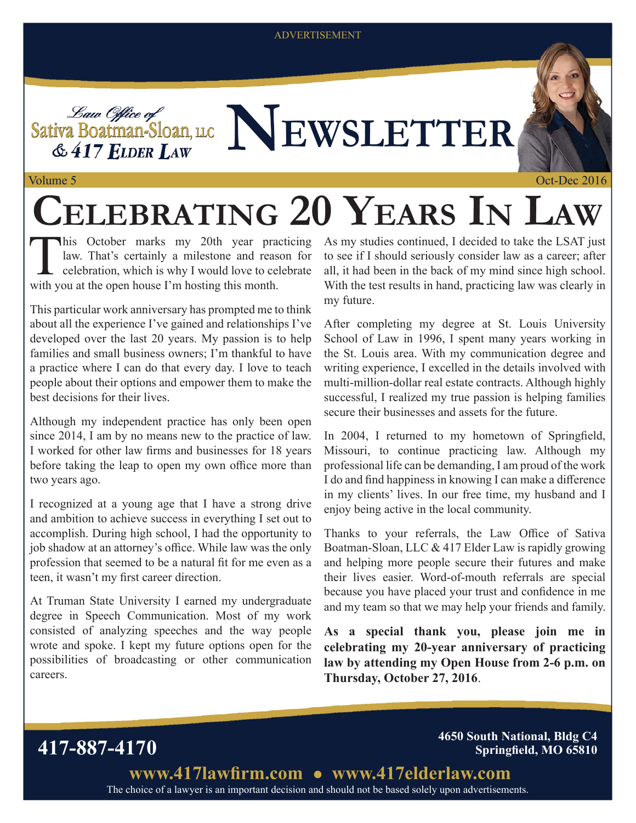#### ADVERTISEMENT

Sativa Boatman-Sloan, u.c **NEWSLETTER**  $& 417$  ELDER LAW

Volume 5

# **CELEBRATING 20 YEARS IN LAW**

law. That's certainly a milestone and reason for  $\mathsf{\mathsf{L}}$  celebration, which is why I would love to celebrate with you at the open house I'm hosting this month.

This particular work anniversary has prompted me to think about all the experience I've gained and relationships I've developed over the last 20 years. My passion is to help families and small business owners; I'm thankful to have a practice where I can do that every day. I love to teach people about their options and empower them to make the best decisions for their lives.

Although my independent practice has only been open since 2014, I am by no means new to the practice of law. I worked for other law firms and businesses for 18 years before taking the leap to open my own office more than two years ago.

I recognized at a young age that I have a strong drive and ambition to achieve success in everything I set out to accomplish. During high school, I had the opportunity to job shadow at an attorney's office. While law was the only profession that seemed to be a natural fit for me even as a teen, it wasn't my first career direction.

At Truman State University I earned my undergraduate degree in Speech Communication. Most of my work consisted of analyzing speeches and the way people wrote and spoke. I kept my future options open for the possibilities of broadcasting or other communication careers.

This October marks my 20th year practicing As my studies continued, I decided to take the LSAT just<br>law. That's certainly a milestone and reason for to see if I should seriously consider law as a career; after<br>celebration, to see if I should seriously consider law as a career; after all, it had been in the back of my mind since high school. With the test results in hand, practicing law was clearly in my future.

> After completing my degree at St. Louis University School of Law in 1996, I spent many years working in the St. Louis area. With my communication degree and writing experience, I excelled in the details involved with multi-million-dollar real estate contracts. Although highly successful, I realized my true passion is helping families secure their businesses and assets for the future.

> In 2004, I returned to my hometown of Springfield, Missouri, to continue practicing law. Although my professional life can be demanding, I am proud of the work I do and find happiness in knowing I can make a difference in my clients' lives. In our free time, my husband and I enjoy being active in the local community.

> Thanks to your referrals, the Law Office of Sativa Boatman-Sloan, LLC & 417 Elder Law is rapidly growing and helping more people secure their futures and make their lives easier. Word-of-mouth referrals are special because you have placed your trust and confidence in me and my team so that we may help your friends and family.

> **As a special thank you, please join me in celebrating my 20-year anniversary of practicing law by attending my Open House from 2-6 p.m. on Thursday, October 27, 2016**.

**417-887-4170 4650 South National, Bldg C4 Springfield, MO 65810** 

> The choice of a lawyer is an important decision and should not be based solely upon advertisements. www.417lawfirm.com • www.417elderlaw.com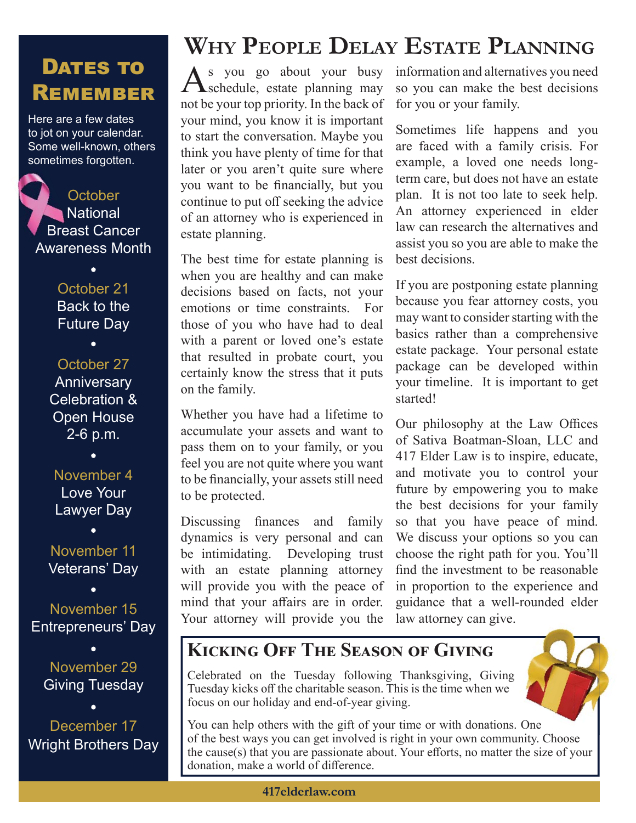### DATES TO **REMEMBER**

Here are a few dates to jot on your calendar. Some well-known, others sometimes forgotten.

**October National** Breast Cancer Bre Awareness Month

#### October 21 Back to the Future Day

October 27 Anniversary Celebration & Open House 2-6 p.m.

November 4 Love Your Lawyer Day

November 11 Veterans' Day

November 15 Entrepreneurs' Day

November 29 Giving Tuesday

December 17 Wright Brothers Day

# **WHY PEOPLE DELAY ESTATE PLANNING**

As you go about your busy  $\Lambda$ schedule, estate planning may not be your top priority. In the back of your mind, you know it is important to start the conversation. Maybe you think you have plenty of time for that later or you aren't quite sure where you want to be financially, but you continue to put off seeking the advice of an attorney who is experienced in estate planning.

The best time for estate planning is when you are healthy and can make decisions based on facts, not your emotions or time constraints. For those of you who have had to deal with a parent or loved one's estate that resulted in probate court, you certainly know the stress that it puts on the family.

Whether you have had a lifetime to accumulate your assets and want to pass them on to your family, or you feel you are not quite where you want to be financially, your assets still need to be protected.

Discussing finances and family dynamics is very personal and can be intimidating. Developing trust with an estate planning attorney will provide you with the peace of mind that your affairs are in order. Your attorney will provide you the

information and alternatives you need so you can make the best decisions for you or your family.

Sometimes life happens and you are faced with a family crisis. For example, a loved one needs longterm care, but does not have an estate plan. It is not too late to seek help. An attorney experienced in elder law can research the alternatives and assist you so you are able to make the best decisions.

If you are postponing estate planning because you fear attorney costs, you may want to consider starting with the basics rather than a comprehensive estate package. Your personal estate package can be developed within your timeline. It is important to get started!

Our philosophy at the Law Offices of Sativa Boatman-Sloan, LLC and 417 Elder Law is to inspire, educate, and motivate you to control your future by empowering you to make the best decisions for your family so that you have peace of mind. We discuss your options so you can choose the right path for you. You'll find the investment to be reasonable in proportion to the experience and guidance that a well-rounded elder law attorney can give.

#### **KICKING OFF THE SEASON OF GIVING**

Celebrated on the Tuesday following Thanksgiving, Giving Tuesday kicks off the charitable season. This is the time when we focus on our holiday and end-of-year giving.

You can help others with the gift of your time or with donations. One of the best ways you can get involved is right in your own community. Choose the cause $(s)$  that you are passionate about. Your efforts, no matter the size of your donation, make a world of difference.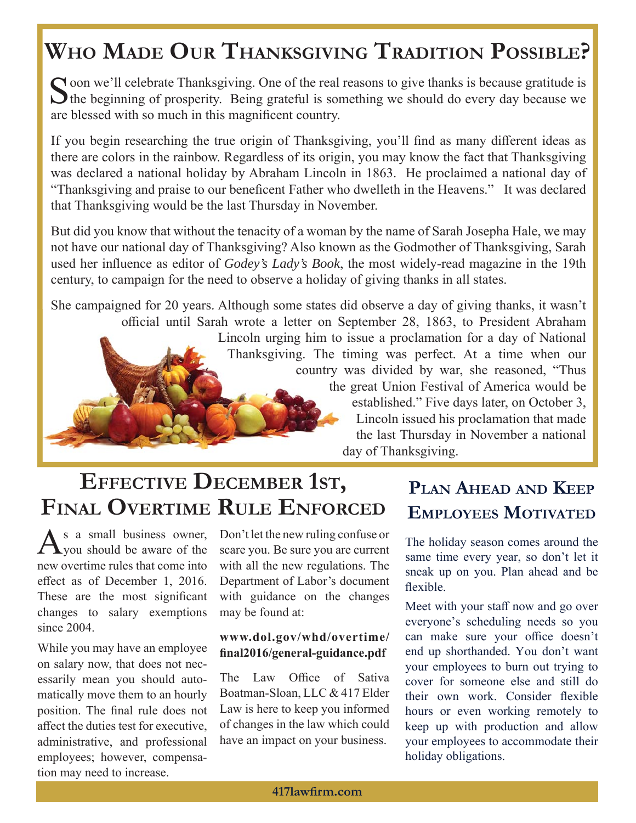## **WHO MADE OUR THANKSGIVING TRADITION POSSIBLE?**

Soon we'll celebrate Thanksgiving. One of the real reasons to give thanks is because gratitude is  $\bigcup$  the beginning of prosperity. Being grateful is something we should do every day because we are blessed with so much in this magnificent country.

If you begin researching the true origin of Thanksgiving, you'll find as many different ideas as there are colors in the rainbow. Regardless of its origin, you may know the fact that Thanksgiving was declared a national holiday by Abraham Lincoln in 1863. He proclaimed a national day of "Thanksgiving and praise to our beneficent Father who dwelleth in the Heavens." It was declared that Thanksgiving would be the last Thursday in November.

But did you know that without the tenacity of a woman by the name of Sarah Josepha Hale, we may not have our national day of Thanksgiving? Also known as the Godmother of Thanksgiving, Sarah used her influence as editor of *Godey's Lady's Book*, the most widely-read magazine in the 19th century, to campaign for the need to observe a holiday of giving thanks in all states.

She campaigned for 20 years. Although some states did observe a day of giving thanks, it wasn't She campaigned for 20 years. Although some states di official until Sarah wrote a letter on September 28, 1863, to President Abraham Lincoln urging him to issue a proclamation for a day of National i Thanksgiving. The timing was perfect. At a time when our country was divided by war, she reasoned, "Thus the great Union Festival of America would be established." Five days later, on October 3, Lincoln issued his proclamation that made the last Thursday in November a national day of Thanksgiving.

### **EFFECTIVE DECEMBER 1ST, FINAL OVERTIME RULE ENFORCED**

 $A<sub>s</sub>$  a small business owner,<br>  $y<sub>y</sub>$  should be aware of the new overtime rules that come into effect as of December 1, 2016. These are the most significant changes to salary exemptions since 2004.

While you may have an employee on salary now, that does not necessarily mean you should automatically move them to an hourly position. The final rule does not affect the duties test for executive, administrative, and professional employees; however, compensation may need to increase.

Don't let the new ruling confuse or scare you. Be sure you are current with all the new regulations. The Department of Labor's document with guidance on the changes may be found at:

#### **www.dol.gov/whd/overtime/ fi nal2016/general-guidance.pdf**

The Law Office of Sativa Boatman-Sloan, LLC & 417 Elder Law is here to keep you informed of changes in the law which could have an impact on your business.

### **PLAN AHEAD AND KEEP EMPLOYEES MOTIVATED**

The holiday season comes around the same time every year, so don't let it sneak up on you. Plan ahead and be flexible.

Meet with your staff now and go over everyone's scheduling needs so you can make sure your office doesn't end up shorthanded. You don't want your employees to burn out trying to cover for someone else and still do their own work. Consider flexible hours or even working remotely to keep up with production and allow your employees to accommodate their holiday obligations.

**417lawfi rm.com**